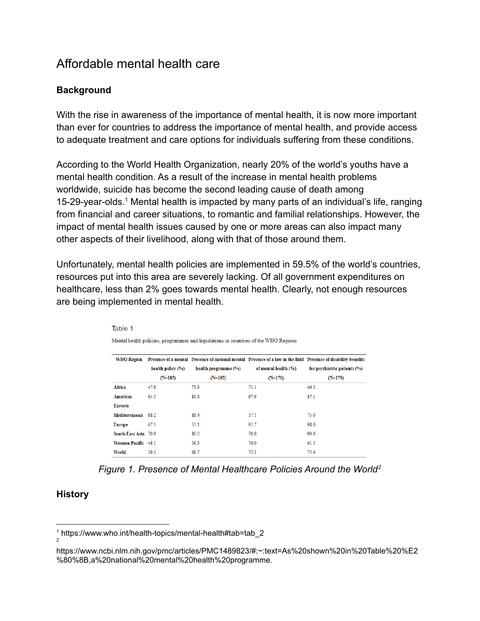# Affordable mental health care

## **Background**

With the rise in awareness of the importance of mental health, it is now more important than ever for countries to address the importance of mental health, and provide access to adequate treatment and care options for individuals suffering from these conditions.

According to the World Health Organization, nearly 20% of the world's youths have a mental health condition. As a result of the increase in mental health problems worldwide, suicide has become the second leading cause of death among 15-29-year-olds.<sup>1</sup> Mental health is impacted by many parts of an individual's life, ranging from financial and career situations, to romantic and familial relationships. However, the impact of mental health issues caused by one or more areas can also impact many other aspects of their livelihood, along with that of those around them.

Unfortunately, mental health policies are implemented in 59.5% of the world's countries, resources put into this area are severely lacking. Of all government expenditures on healthcare, less than 2% goes towards mental health. Clearly, not enough resources are being implemented in mental health.

| <b>WHO</b> Region    |                       |                          |                      | Presence of a mental Presence of national mental Presence of a law in the field Presence of disability benefits |
|----------------------|-----------------------|--------------------------|----------------------|-----------------------------------------------------------------------------------------------------------------|
|                      | health policy $(\% )$ | health programme $(\% )$ | of mental health (%) | for psychiatric patients $(\% )$                                                                                |
|                      | $(N=185)$             | $(N=185)$                | $(N=170)$            | $(N=179)$                                                                                                       |
| Africa               | 47.8                  | 73.9                     | 71.1                 | 46.5                                                                                                            |
| <b>Americas</b>      | 64.5                  | 80.6                     | 67.9                 | 87.1                                                                                                            |
| <b>Eastern</b>       |                       |                          |                      |                                                                                                                 |
| Mediterranean        | 68.2                  | 86.4                     | 57.1                 | 75.0                                                                                                            |
| <b>Europe</b>        | 67.3                  | 55.1                     | 91.7                 | 98.0                                                                                                            |
| South-East Asia 70.0 |                       | 80.0                     | 70.0                 | 90.0                                                                                                            |
| Western Pacific 48.1 |                       | 59.3                     | 76.0                 | 61.5                                                                                                            |
| World                | 59.5                  | 69.7                     | 75.3                 | 75.4                                                                                                            |

Table 1 Mental health policies, programmes and legislations in countries of the WHO Regions

*Figure 1. Presence of Mental Healthcare Policies Around the World<sup>2</sup>*

#### **History**

<sup>2</sup> <sup>1</sup> https://www.who.int/health-topics/mental-health#tab=tab\_2

https://www.ncbi.nlm.nih.gov/pmc/articles/PMC1489823/#:~:text=As%20shown%20in%20Table%20%E2 %80%8B,a%20national%20mental%20health%20programme.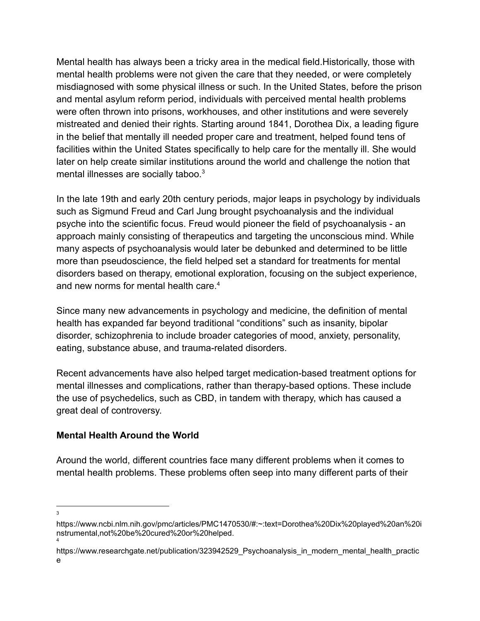Mental health has always been a tricky area in the medical field.Historically, those with mental health problems were not given the care that they needed, or were completely misdiagnosed with some physical illness or such. In the United States, before the prison and mental asylum reform period, individuals with perceived mental health problems were often thrown into prisons, workhouses, and other institutions and were severely mistreated and denied their rights. Starting around 1841, Dorothea Dix, a leading figure in the belief that mentally ill needed proper care and treatment, helped found tens of facilities within the United States specifically to help care for the mentally ill. She would later on help create similar institutions around the world and challenge the notion that mental illnesses are socially taboo.<sup>3</sup>

In the late 19th and early 20th century periods, major leaps in psychology by individuals such as Sigmund Freud and Carl Jung brought psychoanalysis and the individual psyche into the scientific focus. Freud would pioneer the field of psychoanalysis - an approach mainly consisting of therapeutics and targeting the unconscious mind. While many aspects of psychoanalysis would later be debunked and determined to be little more than pseudoscience, the field helped set a standard for treatments for mental disorders based on therapy, emotional exploration, focusing on the subject experience, and new norms for mental health care.<sup>4</sup>

Since many new advancements in psychology and medicine, the definition of mental health has expanded far beyond traditional "conditions" such as insanity, bipolar disorder, schizophrenia to include broader categories of mood, anxiety, personality, eating, substance abuse, and trauma-related disorders.

Recent advancements have also helped target medication-based treatment options for mental illnesses and complications, rather than therapy-based options. These include the use of psychedelics, such as CBD, in tandem with therapy, which has caused a great deal of controversy.

#### **Mental Health Around the World**

Around the world, different countries face many different problems when it comes to mental health problems. These problems often seep into many different parts of their

<sup>3</sup>

<sup>4</sup> https://www.ncbi.nlm.nih.gov/pmc/articles/PMC1470530/#:~:text=Dorothea%20Dix%20played%20an%20i nstrumental,not%20be%20cured%20or%20helped.

https://www.researchgate.net/publication/323942529\_Psychoanalysis\_in\_modern\_mental\_health\_practic e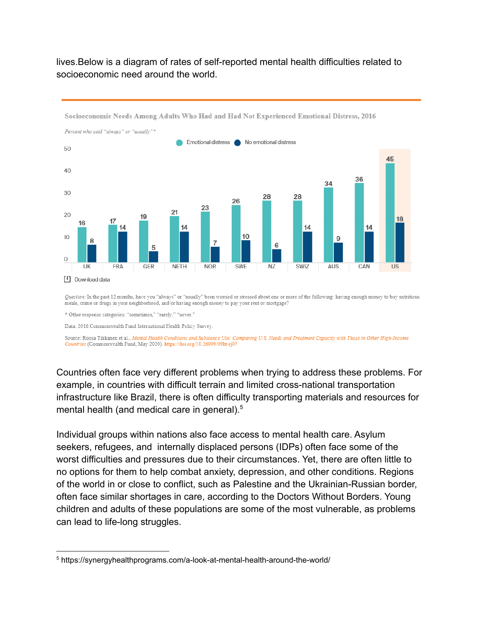#### lives.Below is a diagram of rates of self-reported mental health difficulties related to socioeconomic need around the world.



Socioeconomic Needs Among Adults Who Had and Had Not Experienced Emotional Distress, 2016

Question: In the past 12 months, have you "always" or "usually" been worried or stressed about one or more of the following: having enough money to buy nutritious meals, crime or drugs in your neighborhood, and/or having enough money to pay your rent or mortgage?

\* Other response categories: "sometimes," "rarely," "never."

Data: 2016 Commonwealth Fund International Health Policy Survey.

Source: Roosa Tikkanen et al., Mental Health Conditions and Substance Use: Comparing U.S. Needs and Treatment Capacity with Those in Other High-Income Countries (Commonwealth Fund, May 2020). https://doi.org/10.26099/09ht-rj07

Countries often face very different problems when trying to address these problems. For example, in countries with difficult terrain and limited cross-national transportation infrastructure like Brazil, there is often difficulty transporting materials and resources for mental health (and medical care in general).<sup>5</sup>

Individual groups within nations also face access to mental health care. Asylum seekers, refugees, and internally displaced persons (IDPs) often face some of the worst difficulties and pressures due to their circumstances. Yet, there are often little to no options for them to help combat anxiety, depression, and other conditions. Regions of the world in or close to conflict, such as Palestine and the Ukrainian-Russian border, often face similar shortages in care, according to the Doctors Without Borders. Young children and adults of these populations are some of the most vulnerable, as problems can lead to life-long struggles.

<sup>5</sup> https://synergyhealthprograms.com/a-look-at-mental-health-around-the-world/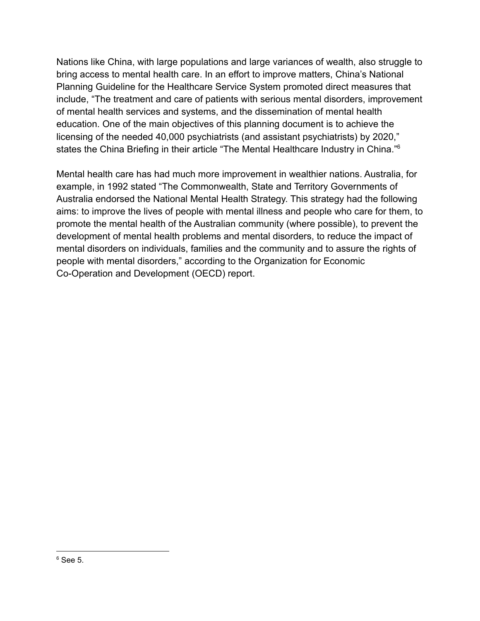Nations like China, with large populations and large variances of wealth, also struggle to bring access to mental health care. In an effort to improve matters, China's National Planning Guideline for the Healthcare Service System promoted direct measures that include, "The treatment and care of patients with serious mental disorders, improvement of mental health services and systems, and the dissemination of mental health education. One of the main objectives of this planning document is to achieve the licensing of the needed 40,000 psychiatrists (and assistant psychiatrists) by 2020," states the China Briefing in their article "The Mental Healthcare Industry in China."<sup>6</sup>

Mental health care has had much more improvement in wealthier nations. Australia, for example, in 1992 stated "The Commonwealth, State and Territory Governments of Australia endorsed the National Mental Health Strategy. This strategy had the following aims: to improve the lives of people with mental illness and people who care for them, to promote the mental health of the Australian community (where possible), to prevent the development of mental health problems and mental disorders, to reduce the impact of mental disorders on individuals, families and the community and to assure the rights of people with mental disorders," according to the Organization for Economic Co-Operation and Development (OECD) report.